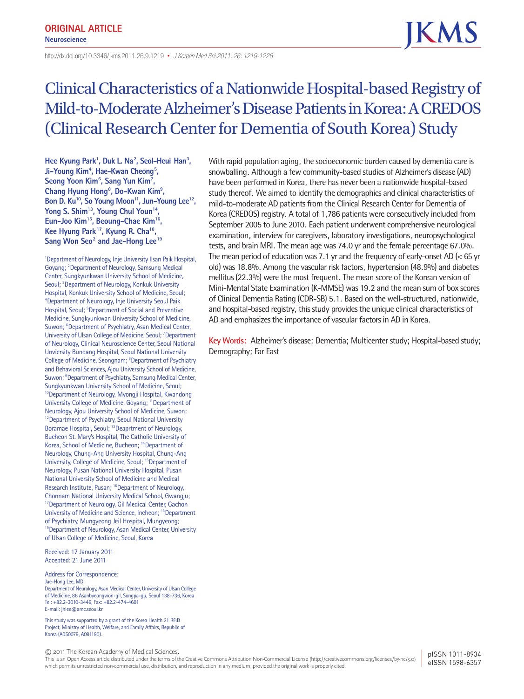http://dx.doi.org/10.3346/ jkms.2011.26.9.1219• *J Korean Med Sci 2011; 26: 1219-1226*

# Clinical Characteristics of a Nationwide Hospital-based Registry of Mild-to-Moderate Alzheimer's Disease Patients in Korea: A CREDOS (Clinical Research Center for Dementia of South Korea) Study

Hee Kyung Park<sup>1</sup>, Duk L. Na<sup>2</sup>, Seol-Heui Han<sup>3</sup>, Ji-Young Kim<sup>4</sup>, Hae-Kwan Cheong<sup>5</sup>, Seong Yoon Kim<sup>6</sup>, Sang Yun Kim<sup>7</sup>, Chang Hyung Hong<sup>8</sup>, Do-Kwan Kim<sup>9</sup>, Bon D. Ku<sup>10</sup>, So Young Moon<sup>11</sup>, Jun-Young Lee<sup>12</sup>, Yong S. Shim<sup>13</sup>, Young Chul Youn<sup>14</sup>, **Eun-Joo Kim15, Beoung-Chae Kim16, Kee Hyung Park17, Kyung R. Cha18,**  Sang Won Seo<sup>2</sup> and Jae-Hong Lee<sup>19</sup>

1 Department of Neurology, Inje University Ilsan Paik Hospital, Goyang; <sup>2</sup> Department of Neurology, Samsung Medical Center, Sungkyunkwan University School of Medicine, Seoul; <sup>3</sup> Department of Neurology, Konkuk University Hospital, Konkuk University School of Medicine, Seoul; 4 Department of Neurology, Inje University Seoul Paik Hospital, Seoul; <sup>5</sup>Department of Social and Preventive Medicine, Sungkyunkwan University School of Medicine, Suwon; <sup>6</sup> Department of Psychiatry, Asan Medical Center, University of Ulsan College of Medicine, Seoul; <sup>7</sup> Department of Neurology, Clinical Neuroscience Center, Seoul National Unviersity Bundang Hospital, Seoul National University College of Medicine, Seongnam; <sup>8</sup>Department of Psychiatry and Behavioral Sciences, Ajou University School of Medicine, Suwon; <sup>9</sup> Department of Psychiatry, Samsung Medical Center, Sungkyunkwan University School of Medicine, Seoul; <sup>10</sup> Department of Neurology, Myongji Hospital, Kwandong University College of Medicine, Goyang; 11Department of Neurology, Ajou University School of Medicine, Suwon; <sup>12</sup> Department of Psychiatry, Seoul National University Boramae Hospital, Seoul; <sup>13</sup>Deaprtment of Neurology, Bucheon St. Mary's Hospital, The Catholic University of Korea, School of Medicine, Bucheon; 14Department of Neurology, Chung-Ang University Hospital, Chung-Ang University, College of Medicine, Seoul; 15Department of Neurology, Pusan National University Hospital, Pusan National University School of Medicine and Medical Research Institute, Pusan; <sup>16</sup>Department of Neurology, Chonnam National University Medical School, Gwangju; <sup>17</sup> Department of Neurology, Gil Medical Center, Gachon University of Medicine and Science, Incheon; 18Department of Psychiatry, Mungyeong Jeil Hospital, Mungyeong; <sup>19</sup> Department of Neurology, Asan Medical Center, University of Ulsan College of Medicine, Seoul, Korea

Received: 17 January 2011 Accepted: 21 June 2011

Address for Correspondence: Jae-Hong Lee, MD

Department of Neurology, Asan Medical Center, University of Ulsan College of Medicine, 86 Asanbyeongwon-gil, Songpa-gu, Seoul 138-736, Korea Tel: +82.2-3010-3446, Fax: +82.2-474-4691 E-mail: jhlee@amc.seoul.kr

This study was supported by a grant of the Korea Health 21 R&D Project, Ministry of Health, Welfare, and Family Affairs, Republic of Korea (A050079, A091190).

© 2011 The Korean Academy of Medical Sciences.

This is an Open Access article distributed under the terms of the Creative Commons Attribution Non-Commercial License (http://creativecommons.org/licenses/by-nc/3.0) which permits unrestricted non-commercial use, distribution, and reproduction in any medium, provided the original work is properly cited.

pISSN 1011-8934 eISSN 1598-6357

With rapid population aging, the socioeconomic burden caused by dementia care is snowballing. Although a few community-based studies of Alzheimer's disease (AD) have been performed in Korea, there has never been a nationwide hospital-based study thereof. We aimed to identify the demographics and clinical characteristics of mild-to-moderate AD patients from the Clinical Research Center for Dementia of Korea (CREDOS) registry. A total of 1,786 patients were consecutively included from September 2005 to June 2010. Each patient underwent comprehensive neurological examination, interview for caregivers, laboratory investigations, neuropsychological tests, and brain MRI. The mean age was 74.0 yr and the female percentage 67.0%. The mean period of education was 7.1 yr and the frequency of early-onset AD (< 65 yr old) was 18.8%. Among the vascular risk factors, hypertension (48.9%) and diabetes mellitus (22.3%) were the most frequent. The mean score of the Korean version of Mini-Mental State Examination (K-MMSE) was 19.2 and the mean sum of box scores of Clinical Dementia Rating (CDR-SB) 5.1. Based on the well-structured, nationwide, and hospital-based registry, this study provides the unique clinical characteristics of AD and emphasizes the importance of vascular factors in AD in Korea.

**Key Words:** Alzheimer's disease; Dementia; Multicenter study; Hospital-based study; Demography; Far East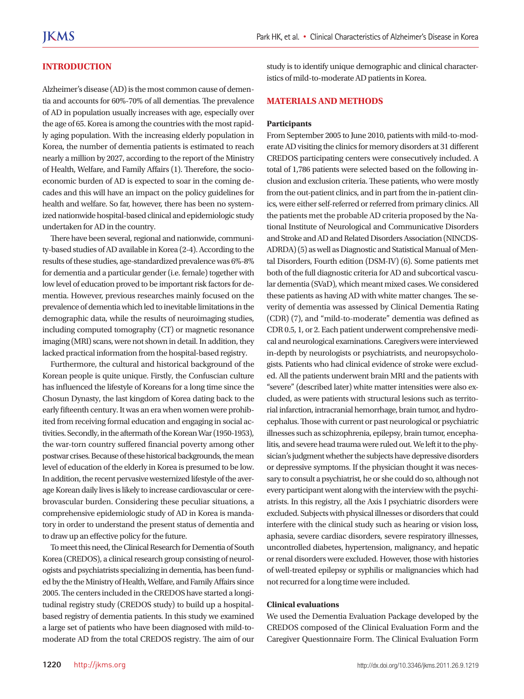#### **INTRODUCTION**

Alzheimer's disease (AD) is the most common cause of dementia and accounts for 60%-70% of all dementias. The prevalence of AD in population usually increases with age, especially over the age of 65. Korea is among the countries with the most rapidly aging population. With the increasing elderly population in Korea, the number of dementia patients is estimated to reach nearly a million by 2027, according to the report of the Ministry of Health, Welfare, and Family Affairs (1). Therefore, the socioeconomic burden of AD is expected to soar in the coming decades and this will have an impact on the policy guidelines for health and welfare. So far, however, there has been no systemized nationwide hospital-based clinical and epidemiologic study undertaken for AD in the country.

There have been several, regional and nationwide, community-based studies of AD available in Korea (2-4). According to the results of these studies, age-standardized prevalence was 6%-8% for dementia and a particular gender (i.e. female) together with low level of education proved to be important risk factors for dementia. However, previous researches mainly focused on the prevalence of dementia which led to inevitable limitations in the demographic data, while the results of neuroimaging studies, including computed tomography (CT) or magnetic resonance imaging (MRI) scans, were not shown in detail. In addition, they lacked practical information from the hospital-based registry.

Furthermore, the cultural and historical background of the Korean people is quite unique. Firstly, the Confuscian culture has influenced the lifestyle of Koreans for a long time since the Chosun Dynasty, the last kingdom of Korea dating back to the early fifteenth century. It was an era when women were prohibited from receiving formal education and engaging in social activities. Secondly, in the aftermath of the Korean War (1950-1953), the war-torn country suffered financial poverty among other postwar crises. Because of these historical backgrounds, the mean level of education of the elderly in Korea is presumed to be low. In addition, the recent pervasive westernized lifestyle of the average Korean daily lives is likely to increase cardiovascular or cerebrovascular burden. Considering these peculiar situations, a comprehensive epidemiologic study of AD in Korea is mandatory in order to understand the present status of dementia and to draw up an effective policy for the future.

To meet this need, the Clinical Research for Dementia of South Korea (CREDOS), a clinical research group consisting of neurologists and psychiatrists specializing in dementia, has been funded by the the Ministry of Health, Welfare, and Family Affairs since 2005. The centers included in the CREDOS have started a longitudinal registry study (CREDOS study) to build up a hospitalbased registry of dementia patients. In this study we examined a large set of patients who have been diagnosed with mild-tomoderate AD from the total CREDOS registry. The aim of our

study is to identify unique demographic and clinical characteristics of mild-to-moderate AD patients in Korea.

#### **MATERIALS AND METHODS**

#### **Participants**

From September 2005 to June 2010, patients with mild-to-moderate AD visiting the clinics for memory disorders at 31 different CREDOS participating centers were consecutively included. A total of 1,786 patients were selected based on the following inclusion and exclusion criteria. These patients, who were mostly from the out-patient clinics, and in part from the in-patient clinics, were either self-referred or referred from primary clinics. All the patients met the probable AD criteria proposed by the National Institute of Neurological and Communicative Disorders and Stroke and AD and Related Disorders Association (NINCDS-ADRDA) (5) as well as Diagnostic and Statistical Manual of Mental Disorders, Fourth edition (DSM-IV) (6). Some patients met both of the full diagnostic criteria for AD and subcortical vascular dementia (SVaD), which meant mixed cases. We considered these patients as having AD with white matter changes. The severity of dementia was assessed by Clinical Dementia Rating (CDR) (7), and "mild-to-moderate" dementia was defined as CDR 0.5, 1, or 2. Each patient underwent comprehensive medical and neurological examinations. Caregivers were interviewed in-depth by neurologists or psychiatrists, and neuropsychologists. Patients who had clinical evidence of stroke were excluded. All the patients underwent brain MRI and the patients with "severe" (described later) white matter intensities were also excluded, as were patients with structural lesions such as territorial infarction, intracranial hemorrhage, brain tumor, and hydrocephalus. Those with current or past neurological or psychiatric illnesses such as schizophrenia, epilepsy, brain tumor, encephalitis, and severe head trauma were ruled out. We left it to the physician's judgment whether the subjects have depressive disorders or depressive symptoms. If the physician thought it was necessary to consult a psychiatrist, he or she could do so, although not every participant went along with the interview with the psychiatrists. In this registry, all the Axis I psychiatric disorders were excluded. Subjects with physical illnesses or disorders that could interfere with the clinical study such as hearing or vision loss, aphasia, severe cardiac disorders, severe respiratory illnesses, uncontrolled diabetes, hypertension, malignancy, and hepatic or renal disorders were excluded. However, those with histories of well-treated epilepsy or syphilis or malignancies which had not recurred for a long time were included.

#### **Clinical evaluations**

We used the Dementia Evaluation Package developed by the CREDOS composed of the Clinical Evaluation Form and the Caregiver Questionnaire Form. The Clinical Evaluation Form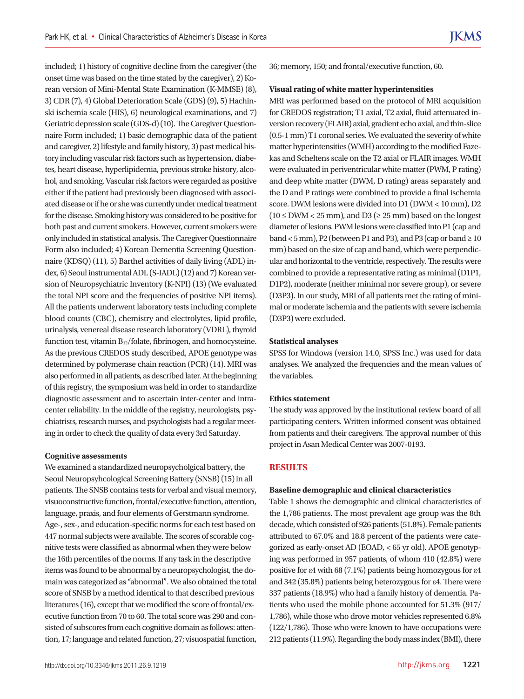included; 1) history of cognitive decline from the caregiver (the onset time was based on the time stated by the caregiver), 2) Korean version of Mini-Mental State Examination (K-MMSE) (8), 3) CDR (7), 4) Global Deterioration Scale (GDS) (9), 5) Hachinski ischemia scale (HIS), 6) neurological examinations, and 7) Geriatric depression scale (GDS-d) (10). The Caregiver Questionnaire Form included; 1) basic demographic data of the patient and caregiver, 2) lifestyle and family history, 3) past medical history including vascular risk factors such as hypertension, diabetes, heart disease, hyperlipidemia, previous stroke history, alcohol, and smoking. Vascular risk factors were regarded as positive either if the patient had previously been diagnosed with associated disease or if he or she was currently under medical treatment for the disease. Smoking history was considered to be positive for both past and current smokers. However, current smokers were only included in statistical analysis. The Caregiver Questionnaire Form also included; 4) Korean Dementia Screening Questionnaire (KDSQ) (11), 5) Barthel activities of daily living (ADL) index, 6) Seoul instrumental ADL (S-IADL) (12) and 7) Korean version of Neuropsychiatric Inventory (K-NPI) (13) (We evaluated the total NPI score and the frequencies of positive NPI items). All the patients underwent laboratory tests including complete blood counts (CBC), chemistry and electrolytes, lipid profile, urinalysis, venereal disease research laboratory (VDRL), thyroid function test, vitamin B<sub>12</sub>/folate, fibrinogen, and homocysteine. As the previous CREDOS study described, APOE genotype was determined by polymerase chain reaction (PCR) (14). MRI was also performed in all patients, as described later. At the beginning of this registry, the symposium was held in order to standardize diagnostic assessment and to ascertain inter-center and intracenter reliability. In the middle of the registry, neurologists, psychiatrists, research nurses, and psychologists had a regular meeting in order to check the quality of data every 3rd Saturday.

#### **Cognitive assessments**

We examined a standardized neuropsycholgical battery, the Seoul Neuropsyhcological Screening Battery (SNSB) (15) in all patients. The SNSB contains tests for verbal and visual memory, visuoconstructive function, frontal/executive function, attention, language, praxis, and four elements of Gerstmann syndrome. Age-, sex-, and education-specific norms for each test based on 447 normal subjects were available. The scores of scorable cognitive tests were classified as abnormal when they were below the 16th percentiles of the norms. If any task in the descriptive items was found to be abnormal by a neuropsychologist, the domain was categorized as "abnormal". We also obtained the total score of SNSB by a method identical to that described previous literatures (16), except that we modified the score of frontal/executive function from 70 to 60. The total score was 290 and consisted of subscores from each cognitive domain as follows: attention, 17; language and related function, 27; visuospatial function,

36; memory, 150; and frontal/executive function, 60.

#### **Visual rating of white matter hyperintensities**

MRI was performed based on the protocol of MRI acquisition for CREDOS registration; T1 axial, T2 axial, fluid attenuated inversion recovery (FLAIR) axial, gradient echo axial, and thin-slice (0.5-1 mm) T1 coronal series. We evaluated the severity of white matter hyperintensities (WMH) according to the modified Fazekas and Scheltens scale on the T2 axial or FLAIR images. WMH were evaluated in periventricular white matter (PWM, P rating) and deep white matter (DWM, D rating) areas separately and the D and P ratings were combined to provide a final ischemia score. DWM lesions were divided into D1 (DWM < 10 mm), D2  $(10 \leq DWM < 25$  mm), and  $D3$  ( $\geq 25$  mm) based on the longest diameter of lesions. PWM lesions were classified into P1 (cap and band < 5 mm), P2 (between P1 and P3), and P3 (cap or band  $\geq 10$ mm) based on the size of cap and band, which were perpendicular and horizontal to the ventricle, respectively. The results were combined to provide a representative rating as minimal (D1P1, D1P2), moderate (neither minimal nor severe group), or severe (D3P3). In our study, MRI of all patients met the rating of minimal or moderate ischemia and the patients with severe ischemia (D3P3) were excluded.

#### **Statistical analyses**

SPSS for Windows (version 14.0, SPSS Inc.) was used for data analyses. We analyzed the frequencies and the mean values of the variables.

#### **Ethics statement**

The study was approved by the institutional review board of all participating centers. Written informed consent was obtained from patients and their caregivers. The approval number of this project in Asan Medical Center was 2007-0193.

#### **RESULTS**

#### **Baseline demographic and clinical characteristics**

Table 1 shows the demographic and clinical characteristics of the 1,786 patients. The most prevalent age group was the 8th decade, which consisted of 926 patients (51.8%). Female patients attributed to 67.0% and 18.8 percent of the patients were categorized as early-onset AD (EOAD, < 65 yr old). APOE genotyping was performed in 957 patients, of whom 410 (42.8%) were positive for ε4 with 68 (7.1%) patients being homozygous for ε4 and 342 (35.8%) patients being heterozygous for ε4. There were 337 patients (18.9%) who had a family history of dementia. Patients who used the mobile phone accounted for 51.3% (917/ 1,786), while those who drove motor vehicles represented 6.8% (122/1,786). Those who were known to have occupations were 212 patients (11.9%). Regarding the body mass index (BMI), there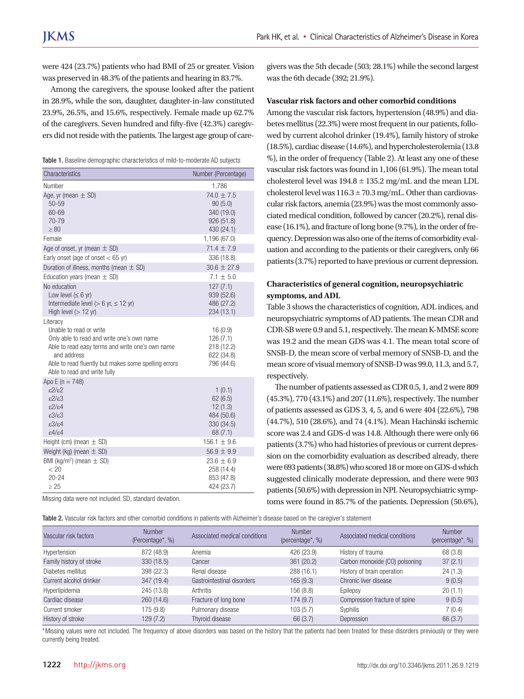were 424 (23.7%) patients who had BMI of 25 or greater. Vision was preserved in 48.3% of the patients and hearing in 83.7%.

Among the caregivers, the spouse looked after the patient in 28.9%, while the son, daughter, daughter-in-law constituted 23.9%, 26.5%, and 15.6%, respectively. Female made up 62.7% of the caregivers. Seven hundred and fifty-five (42.3%) caregivers did not reside with the patients. The largest age group of care-

|  |  |  | Table 1. Baseline demographic characteristics of mild-to-moderate AD subjects |  |  |  |
|--|--|--|-------------------------------------------------------------------------------|--|--|--|
|--|--|--|-------------------------------------------------------------------------------|--|--|--|

| Characteristics                                                                                                                                                                                                                              | Number (Percentage)                                                 |
|----------------------------------------------------------------------------------------------------------------------------------------------------------------------------------------------------------------------------------------------|---------------------------------------------------------------------|
| Number                                                                                                                                                                                                                                       | 1,786                                                               |
| Age, yr (mean $\pm$ SD)<br>50-59<br>60-69<br>70-79<br>$\geq 80$                                                                                                                                                                              | $74.0 + 7.5$<br>90(5.0)<br>340 (19.0)<br>926 (51.8)<br>430 (24.1)   |
| Female                                                                                                                                                                                                                                       | 1,196 (67.0)                                                        |
| Age of onset, yr (mean $\pm$ SD)                                                                                                                                                                                                             | $71.4 \pm 7.9$                                                      |
| Early onset (age of onset $<$ 65 yr)                                                                                                                                                                                                         | 336 (18.8)                                                          |
| Duration of illness, months (mean $\pm$ SD)                                                                                                                                                                                                  | $30.6 \pm 27.9$                                                     |
| Education years (mean $\pm$ SD)                                                                                                                                                                                                              | $7.1 + 5.0$                                                         |
| No education<br>Low level $(\leq 6$ yr)<br>Intermediate level ( $> 6$ yr, $\leq 12$ yr)<br>High level $(> 12$ yr)                                                                                                                            | 127(7.1)<br>939 (52.6)<br>486 (27.2)<br>234 (13.1)                  |
| Literacy<br>Unable to read or write<br>Only able to read and write one's own name<br>Able to read easy terms and write one's own name<br>and address<br>Able to read fluently but makes some spelling errors<br>Able to read and write fully | 16(0.9)<br>126(7.1)<br>218 (12.2)<br>622 (34.8)<br>796 (44.6)       |
| Apo E ( $n = 748$ )<br>$\epsilon$ 2/ε2<br>$\epsilon$ 2/ $\epsilon$ 3<br>$\frac{2}{2}$<br>$\epsilon 3/\epsilon 3$<br>$\epsilon$ 3/ $\epsilon$ 4<br>$\epsilon$ 4/ $\epsilon$ 4                                                                 | 1(0.1)<br>62(6.5)<br>12(1.3)<br>484 (50.6)<br>330 (34.5)<br>68(7.1) |
| Height (cm) (mean $\pm$ SD)                                                                                                                                                                                                                  | $156.1 \pm 9.6$                                                     |
| Weight (kg) (mean $\pm$ SD)                                                                                                                                                                                                                  | $56.9 \pm 9.9$                                                      |
| BMI (kg/m <sup>2</sup> ) (mean $\pm$ SD)<br>< 20<br>20-24<br>> 25                                                                                                                                                                            | $23.6 \pm 6.9$<br>258 (14.4)<br>853 (47.8)<br>424 (23.7)            |

Missing data were not included. SD, standard deviation.

Table 2. Vascular risk factors and other comorbid conditions in patients with Alzheimer's disease based on the caregiver's statement

givers was the 5th decade (503; 28.1%) while the second largest was the 6th decade (392; 21.9%).

#### **Vascular risk factors and other comorbid conditions**

Among the vascular risk factors, hypertension (48.9%) and diabetes mellitus (22.3%) were most frequent in our patients, followed by current alcohol drinker (19.4%), family history of stroke (18.5%), cardiac disease (14.6%), and hypercholesterolemia (13.8 %), in the order of frequency (Table 2). At least any one of these vascular risk factors was found in 1,106 (61.9%). The mean total cholesterol level was  $194.8 \pm 135.2$  mg/mL and the mean LDL cholesterol level was  $116.3 \pm 70.3$  mg/mL. Other than cardiovascular risk factors, anemia (23.9%) was the most commonly associated medical condition, followed by cancer (20.2%), renal disease (16.1%), and fracture of long bone (9.7%), in the order of frequency. Depression was also one of the items of comorbidity evaluation and according to the patients or their caregivers, only 66 patients (3.7%) reported to have previous or current depression.

#### **Characteristics of general cognition, neuropsychiatric symptoms, and ADL**

Table 3 shows the characteristics of cognition, ADL indices, and neuropsychiatric symptoms of AD patients. The mean CDR and CDR-SB were 0.9 and 5.1, respectively. The mean K-MMSE score was 19.2 and the mean GDS was 4.1. The mean total score of SNSB-D, the mean score of verbal memory of SNSB-D, and the mean score of visual memory of SNSB-D was 99.0, 11.3, and 5.7, respectively.

The number of patients assessed as CDR 0.5, 1, and 2 were 809 (45.3%), 770 (43.1%) and 207 (11.6%), respectively. The number of patients assessed as GDS 3, 4, 5, and 6 were 404 (22.6%), 798 (44.7%), 510 (28.6%), and 74 (4.1%). Mean Hachinski ischemic score was 2.4 and GDS-d was 14.8. Although there were only 66 patients (3.7%) who had histories of previous or current depression on the comorbidity evaluation as described already, there were 693 patients (38.8%) who scored 18 or more on GDS-d which suggested clinically moderate depression, and there were 903 patients (50.6%) with depression in NPI. Neuropsychiatric symptoms were found in 85.7% of the patients. Depression (50.6%),

| Vascular risk factors    | Number<br>(Percentage*, %) | Associated medical conditions | Number<br>(percentage <sup>*</sup> , %) | Associated medical conditions  | <b>Number</b><br>(percentage*, %) |
|--------------------------|----------------------------|-------------------------------|-----------------------------------------|--------------------------------|-----------------------------------|
| Hypertension             | 872 (48.9)                 | Anemia                        | 426 (23.9)                              | History of trauma              | 68 (3.8)                          |
| Family history of stroke | 330(18.5)                  | Cancer                        | 361(20.2)                               | Carbon monoxide (CO) poisoning | 37(2.1)                           |
| Diabetes mellitus        | 398 (22.3)                 | Renal disease                 | 288 (16.1)                              | History of brain operation     | 24(1.3)                           |
| Current alcohol drinker  | 347 (19.4)                 | Gastrointestinal disorders    | 165(9.3)                                | Chronic liver disease          | 9(0.5)                            |
| Hyperlipidemia           | 245 (13.8)                 | Arthritis                     | 156 (8.8)                               | Epilepsy                       | 20(1.1)                           |
| Cardiac disease          | 260(14.6)                  | Fracture of long bone         | 174 (9.7)                               | Compression fracture of spine  | 9(0.5)                            |
| Current smoker           | 175 (9.8)                  | Pulmonary disease             | 103(5.7)                                | Svphilis                       | 7(0.4)                            |
| History of stroke        | 129 (7.2)                  | Thyroid disease               | 66 (3.7)                                | Depression                     | 66 (3.7)                          |

\*Missing values were not included. The frequency of above disorders was based on the history that the patients had been treated for these disorders previously or they were currently being treated.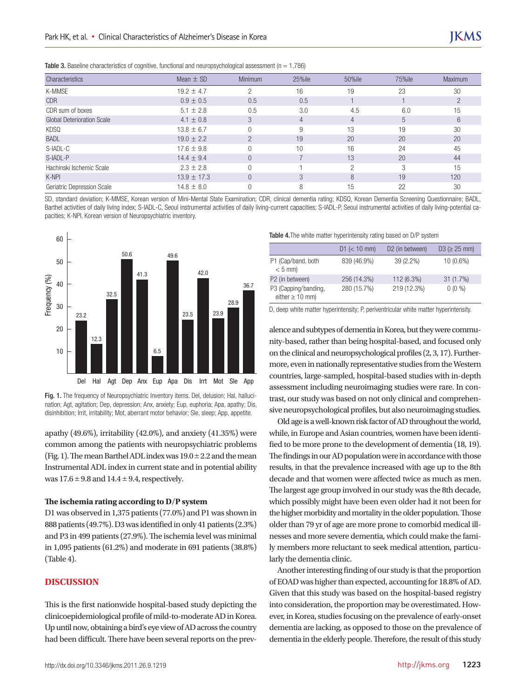**Table 3.** Baseline characteristics of cognitive, functional and neuropsychological assessment ( $n = 1.786$ )

| Characteristics                   | Mean $\pm$ SD   | <b>Minimum</b> | 25%ile | 50%ile         | 75%ile | <b>Maximum</b> |
|-----------------------------------|-----------------|----------------|--------|----------------|--------|----------------|
| K-MMSE                            | $19.2 + 4.7$    | $\Omega$       | 16     | 19             | 23     | 30             |
| <b>CDR</b>                        | $0.9 \pm 0.5$   | 0.5            | 0.5    |                |        |                |
| CDR sum of boxes                  | $5.1 \pm 2.8$   | 0.5            | 3.0    | 4.5            | 6.0    | 15             |
| <b>Global Deterioration Scale</b> | $4.1 \pm 0.8$   | 3              | 4      | $\overline{4}$ | 5      | 6              |
| KDSQ                              | $13.8 \pm 6.7$  |                | 9      | 13             | 19     | 30             |
| <b>BADL</b>                       | $19.0 \pm 2.2$  | <sup>n</sup>   | 19     | 20             | 20     | 20             |
| S-IADL-C                          | $17.6 \pm 9.8$  |                | 10     | 16             | 24     | 45             |
| S-IADL-P                          | $14.4 \pm 9.4$  |                |        | 13             | 20     | 44             |
| Hachinski Ischemic Scale          | $2.3 \pm 2.8$   |                |        | ∩              | 3      | 15             |
| K-NPI                             | $13.9 \pm 17.3$ |                | 3      | 8              | 19     | 120            |
| Geriatric Depression Scale        | $14.8 + 8.0$    |                | 8      | 15             | 22     | 30             |

SD, standard deviation; K-MMSE, Korean version of Mini-Mental State Examination; CDR, clinical dementia rating; KDSQ, Korean Dementia Screening Questionnaire; BADL, Barthel activities of daily living index; S-IADL-C, Seoul instrumental activities of daily living-current capacities; S-IADL-P, Seoul instrumental activities of daily living-potential capacities; K-NPI, Korean version of Neuropsychiatric inventory.



Fig. 1. The frequency of Neuropsychiatric Inventory items. Del, delusion; Hal, hallucination; Agt, agitation; Dep, depression; Anx, anxiety; Eup, euphoria; Apa, apathy; Dis, disinhibition; Irrit, irritability; Mot, aberrant motor behavior; Sle, sleep; App, appetite.

apathy (49.6%), irritability (42.0%), and anxiety (41.35%) were common among the patients with neuropsychiatric problems (Fig. 1). The mean Barthel ADL index was  $19.0 \pm 2.2$  and the mean Instrumental ADL index in current state and in potential ability was  $17.6 \pm 9.8$  and  $14.4 \pm 9.4$ , respectively.

#### **The ischemia rating according to D/P system**

D1 was observed in 1,375 patients (77.0%) and P1 was shown in 888 patients (49.7%). D3 was identified in only 41 patients (2.3%) and P3 in 499 patients (27.9%). The ischemia level was minimal in 1,095 patients (61.2%) and moderate in 691 patients (38.8%) (Table 4).

#### **DISCUSSION**

This is the first nationwide hospital-based study depicting the clinicoepidemiological profile of mild-to-moderate AD in Korea. Up until now, obtaining a bird's eye view of AD across the country had been difficult. There have been several reports on the prev-

|                                              | $D1 \le 10$ mm) | D <sub>2</sub> (in between) | $D3 \geq 25$ mm) |
|----------------------------------------------|-----------------|-----------------------------|------------------|
| P1 (Cap/band, both<br>$< 5$ mm)              | 839 (46.9%)     | 39 (2.2%)                   | 10 (0.6%)        |
| P2 (in between)                              | 256 (14.3%)     | 112 (6.3%)                  | 31(1.7%)         |
| P3 (Capping/banding,<br>either $\geq 10$ mm) | 280 (15.7%)     | 219 (12.3%)                 | $0(0\% )$        |

D, deep white matter hyperintensity; P, periventricular white matter hyperintensity.

alence and subtypes of dementia in Korea, but they were community-based, rather than being hospital-based, and focused only on the clinical and neuropsychological profiles (2, 3, 17). Furthermore, even in nationally representative studies from the Western countries, large-sampled, hospital-based studies with in-depth assessment including neuroimaging studies were rare. In contrast, our study was based on not only clinical and comprehensive neuropsychological profiles, but also neuroimaging studies.

Old age is a well-known risk factor of AD throughout the world, while, in Europe and Asian countries, women have been identified to be more prone to the development of dementia (18, 19). The findings in our AD population were in accordance with those results, in that the prevalence increased with age up to the 8th decade and that women were affected twice as much as men. The largest age group involved in our study was the 8th decade, which possibly might have been even older had it not been for the higher morbidity and mortality in the older population. Those older than 79 yr of age are more prone to comorbid medical illnesses and more severe dementia, which could make the family members more reluctant to seek medical attention, particularly the dementia clinic.

Another interesting finding of our study is that the proportion of EOAD was higher than expected, accounting for 18.8% of AD. Given that this study was based on the hospital-based registry into consideration, the proportion may be overestimated. However, in Korea, studies focusing on the prevalence of early-onset dementia are lacking, as opposed to those on the prevalence of dementia in the elderly people. Therefore, the result of this study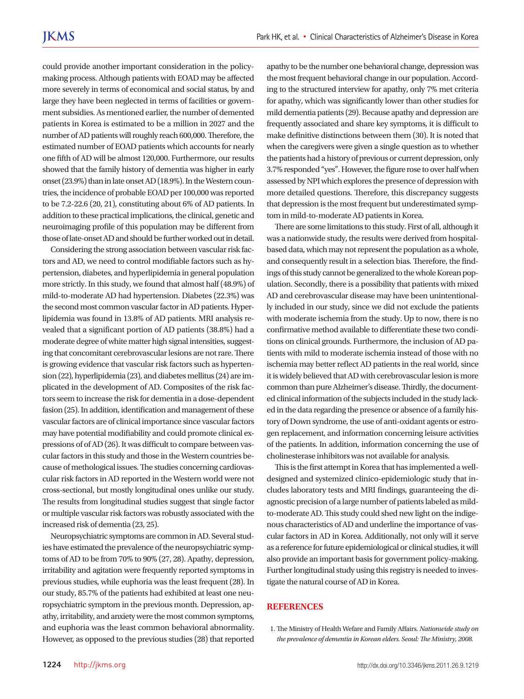could provide another important consideration in the policymaking process. Although patients with EOAD may be affected more severely in terms of economical and social status, by and large they have been neglected in terms of facilities or government subsidies. As mentioned earlier, the number of demented patients in Korea is estimated to be a million in 2027 and the number of AD patients will roughly reach 600,000. Therefore, the estimated number of EOAD patients which accounts for nearly one fifth of AD will be almost 120,000. Furthermore, our results showed that the family history of dementia was higher in early onset (23.9%) than in late onset AD (18.9%). In the Western countries, the incidence of probable EOAD per 100,000 was reported to be 7.2-22.6 (20, 21), constituting about 6% of AD patients. In addition to these practical implications, the clinical, genetic and neuroimaging profile of this population may be different from those of late-onset AD and should be further worked out in detail.

Considering the strong association between vascular risk factors and AD, we need to control modifiable factors such as hypertension, diabetes, and hyperlipidemia in general population more strictly. In this study, we found that almost half (48.9%) of mild-to-moderate AD had hypertension. Diabetes (22.3%) was the second most common vascular factor in AD patients. Hyperlipidemia was found in 13.8% of AD patients. MRI analysis revealed that a significant portion of AD patients (38.8%) had a moderate degree of white matter high signal intensities, suggesting that concomitant cerebrovascular lesions are not rare. There is growing evidence that vascular risk factors such as hypertension (22), hyperlipidemia (23), and diabetes mellitus (24) are implicated in the development of AD. Composites of the risk factors seem to increase the risk for dementia in a dose-dependent fasion (25). In addition, identification and management of these vascular factors are of clinical importance since vascular factors may have potential modifiability and could promote clinical expressions of of AD (26). It was difficult to compare between vascular factors in this study and those in the Western countries because of methological issues. The studies concerning cardiovascular risk factors in AD reported in the Western world were not cross-sectional, but mostly longitudinal ones unlike our study. The results from longitudinal studies suggest that single factor or multiple vascular risk factors was robustly associated with the increased risk of dementia (23, 25).

Neuropsychiatric symptoms are common in AD. Several studies have estimated the prevalence of the neuropsychiatric symptoms of AD to be from 70% to 90% (27, 28). Apathy, depression, irritability and agitation were frequently reported symptoms in previous studies, while euphoria was the least frequent (28). In our study, 85.7% of the patients had exhibited at least one neuropsychiatric symptom in the previous month. Depression, apathy, irritability, and anxiety were the most common symptoms, and euphoria was the least common behavioral abnormality. However, as opposed to the previous studies (28) that reported

apathy to be the number one behavioral change, depression was the most frequent behavioral change in our population. According to the structured interview for apathy, only 7% met criteria for apathy, which was significantly lower than other studies for mild dementia patients (29). Because apathy and depression are frequently associated and share key symptoms, it is difficult to make definitive distinctions between them (30). It is noted that when the caregivers were given a single question as to whether the patients had a history of previous or current depression, only 3.7% responded "yes". However, the figure rose to over half when assessed by NPI which explores the presence of depression with more detailed questions. Therefore, this discrepancy suggests that depression is the most frequent but underestimated symptom in mild-to-moderate AD patients in Korea.

There are some limitations to this study. First of all, although it was a nationwide study, the results were derived from hospitalbased data, which may not represent the population as a whole, and consequently result in a selection bias. Therefore, the findings of this study cannot be generalized to the whole Korean population. Secondly, there is a possibility that patients with mixed AD and cerebrovascular disease may have been unintentionally included in our study, since we did not exclude the patients with moderate ischemia from the study. Up to now, there is no confirmative method available to differentiate these two conditions on clinical grounds. Furthermore, the inclusion of AD patients with mild to moderate ischemia instead of those with no ischemia may better reflect AD patients in the real world, since it is widely believed that AD with cerebrovascular lesion is more common than pure Alzheimer's disease. Thirdly, the documented clinical information of the subjects included in the study lacked in the data regarding the presence or absence of a family history of Down syndrome, the use of anti-oxidant agents or estrogen replacement, and information concerning leisure activities of the patients. In addition, information concerning the use of cholinesterase inhibitors was not available for analysis.

This is the first attempt in Korea that has implemented a welldesigned and systemized clinico-epidemiologic study that includes laboratory tests and MRI findings, guaranteeing the diagnostic precision of a large number of patients labeled as mildto-moderate AD. This study could shed new light on the indigenous characteristics of AD and underline the importance of vascular factors in AD in Korea. Additionally, not only will it serve as a reference for future epidemiological or clinical studies, it will also provide an important basis for government policy-making. Further longitudinal study using this registry is needed to investigate the natural course of AD in Korea.

#### **REFERENCES**

1. The Ministry of Health Wefare and Family Affairs. *Nationwide study on the prevalence of dementia in Korean elders. Seoul: The Ministry, 2008.*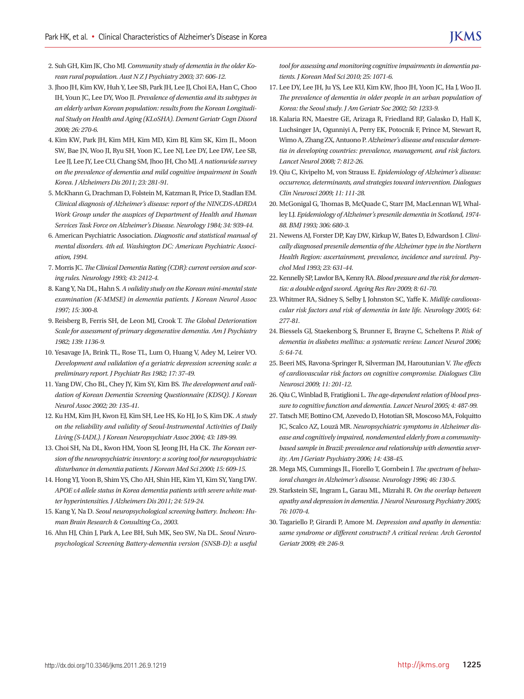- 2. Suh GH, Kim JK, Cho MJ. *Community study of dementia in the older Korean rural population. Aust N Z J Psychiatry 2003; 37: 606-12.*
- 3. Jhoo JH, Kim KW, Huh Y, Lee SB, Park JH, Lee JJ, Choi EA, Han C, Choo IH, Youn JC, Lee DY, Woo JI. *Prevalence of dementia and its subtypes in an elderly urban Korean population: results from the Korean Longitudinal Study on Health and Aging (KLoSHA). Dement Geriatr Cogn Disord 2008; 26: 270-6.*
- 4. Kim KW, Park JH, Kim MH, Kim MD, Kim BJ, Kim SK, Kim JL, Moon SW, Bae JN, Woo JI, Ryu SH, Yoon JC, Lee NJ, Lee DY, Lee DW, Lee SB, Lee JJ, Lee JY, Lee CU, Chang SM, Jhoo JH, Cho MJ. *A nationwide survey on the prevalence of dementia and mild cognitive impairment in South Korea. J Alzheimers Dis 2011; 23: 281-91.*
- 5. McKhann G, Drachman D, Folstein M, Katzman R, Price D, Stadlan EM. *Clinical diagnosis of Alzheimer's disease: report of the NINCDS-ADRDA Work Group under the auspices of Department of Health and Human Services Task Force on Alzheimer's Disease. Neurology 1984; 34: 939-44.*
- 6. American Psychiatric Association. *Diagnostic and statistical manual of mental disorders. 4th ed. Washington DC: American Psychiatric Association, 1994.*
- 7. Morris JC. *The Clinical Dementia Rating (CDR): current version and scoring rules. Neurology 1993; 43: 2412-4.*
- 8. Kang Y, Na DL, Hahn S. *A validity study on the Korean mini-mental state examination (K-MMSE) in dementia patients. J Korean Neurol Assoc 1997; 15: 300-8.*
- 9. Reisberg B, Ferris SH, de Leon MJ, Crook T. *The Global Deterioration Scale for assessment of primary degenerative dementia. Am J Psychiatry 1982; 139: 1136-9.*
- 10. Yesavage JA, Brink TL, Rose TL, Lum O, Huang V, Adey M, Leirer VO. *Development and validation of a geriatric depression screening scale: a preliminary report. J Psychiatr Res 1982; 17: 37-49.*
- 11. Yang DW, Cho BL, Chey JY, Kim SY, Kim BS. *The development and validation of Korean Dementia Screening Questionnaire (KDSQ). J Korean Neurol Assoc 2002; 20: 135-41.*
- 12. Ku HM, Kim JH, Kwon EJ, Kim SH, Lee HS, Ko HJ, Jo S, Kim DK. *A study on the reliability and validity of Seoul-Instrumental Activities of Daily Living (S-IADL). J Korean Neuropsychiatr Assoc 2004; 43: 189-99.*
- 13. Choi SH, Na DL, Kwon HM, Yoon SJ, Jeong JH, Ha CK. *The Korean version of the neuropsychiatric inventory: a scoring tool for neuropsychiatric disturbance in dementia patients. J Korean Med Sci 2000; 15: 609-15.*
- 14. Hong YJ, Yoon B, Shim YS, Cho AH, Shin HE, Kim YI, Kim SY, Yang DW. *APOE* ε*4 allele status in Korea dementia patients with severe white matter hyperintensities. J Alzheimers Dis 2011; 24: 519-24.*
- 15. Kang Y, Na D. *Seoul neuropsychological screening battery. Incheon: Human Brain Research & Consulting Co., 2003.*
- 16. Ahn HJ, Chin J, Park A, Lee BH, Suh MK, Seo SW, Na DL. *Seoul Neuropsychological Screening Battery-dementia version (SNSB-D): a useful*

*tool for assessing and monitoring cognitive impairments in dementia patients. J Korean Med Sci 2010; 25: 1071-6.*

- 17. Lee DY, Lee JH, Ju YS, Lee KU, Kim KW, Jhoo JH, Yoon JC, Ha J, Woo JI. *The prevalence of dementia in older people in an urban population of Korea: the Seoul study. J Am Geriatr Soc 2002; 50: 1233-9.*
- 18. Kalaria RN, Maestre GE, Arizaga R, Friedland RP, Galasko D, Hall K, Luchsinger JA, Ogunniyi A, Perry EK, Potocnik F, Prince M, Stewart R, Wimo A, Zhang ZX, Antuono P. *Alzheimer's disease and vascular dementia in developing countries: prevalence, management, and risk factors. Lancet Neurol 2008; 7: 812-26.*
- 19. Qiu C, Kivipelto M, von Strauss E. *Epidemiology of Alzheimer's disease: occurrence, determinants, and strategies toward intervention. Dialogues Clin Neurosci 2009; 11: 111-28.*
- 20. McGonigal G, Thomas B, McQuade C, Starr JM, MacLennan WJ, Whalley LJ. *Epidemiology of Alzheimer's presenile dementia in Scotland, 1974- 88. BMJ 1993; 306: 680-3.*
- 21. Newens AJ, Forster DP, Kay DW, Kirkup W, Bates D, Edwardson J. *Clinically diagnosed presenile dementia of the Alzheimer type in the Northern Health Region: ascertainment, prevalence, incidence and survival. Psychol Med 1993; 23: 631-44.*
- 22. Kennelly SP, Lawlor BA, Kenny RA. *Blood pressure and the risk for dementia: a double edged sword. Ageing Res Rev 2009; 8: 61-70.*
- 23. Whitmer RA, Sidney S, Selby J, Johnston SC, Yaffe K. *Midlife cardiovascular risk factors and risk of dementia in late life. Neurology 2005; 64: 277-81.*
- 24. Biessels GJ, Staekenborg S, Brunner E, Brayne C, Scheltens P. *Risk of dementia in diabetes mellitus: a systematic review. Lancet Neurol 2006; 5: 64-74.*
- 25. Beeri MS, Ravona-Springer R, Silverman JM, Haroutunian V. *The effects of cardiovascular risk factors on cognitive compromise. Dialogues Clin Neurosci 2009; 11: 201-12.*
- 26. Qiu C, Winblad B, Fratiglioni L. *The age-dependent relation of blood pressure to cognitive function and dementia. Lancet Neurol 2005; 4: 487-99.*
- 27. Tatsch MF, Bottino CM, Azevedo D, Hototian SR, Moscoso MA, Folquitto JC, Scalco AZ, Louzã MR. *Neuropsychiatric symptoms in Alzheimer disease and cognitively impaired, nondemented elderly from a communitybased sample in Brazil: prevalence and relationship with dementia severity. Am J Geriatr Psychiatry 2006; 14: 438-45.*
- 28. Mega MS, Cummings JL, Fiorello T, Gornbein J. *The spectrum of behavioral changes in Alzheimer's disease. Neurology 1996; 46: 130-5.*
- 29. Starkstein SE, Ingram L, Garau ML, Mizrahi R. *On the overlap between apathy and depression in dementia. J Neurol Neurosurg Psychiatry 2005; 76: 1070-4.*
- 30. Tagariello P, Girardi P, Amore M. *Depression and apathy in dementia: same syndrome or different constructs? A critical review. Arch Gerontol Geriatr 2009; 49: 246-9.*